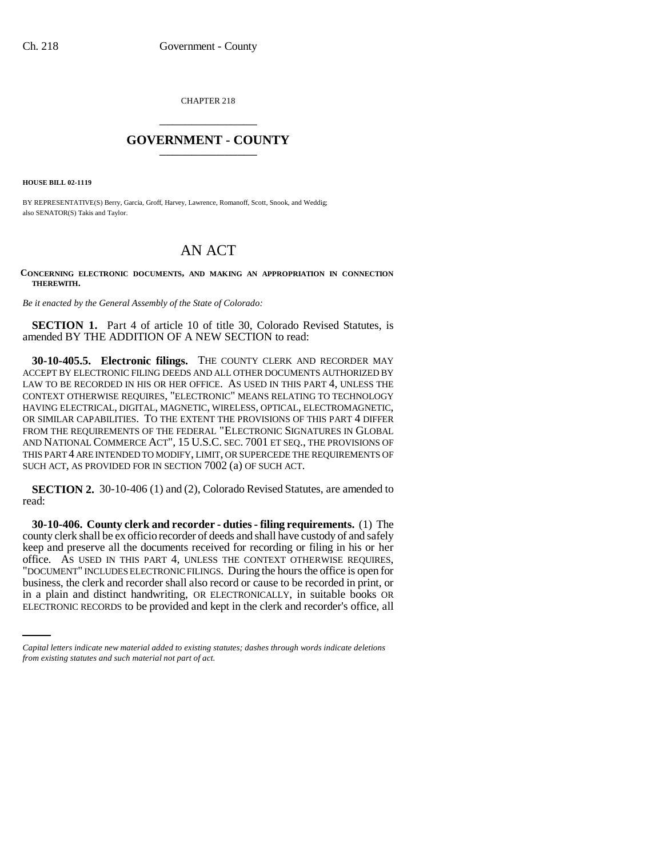CHAPTER 218 \_\_\_\_\_\_\_\_\_\_\_\_\_\_\_

## **GOVERNMENT - COUNTY** \_\_\_\_\_\_\_\_\_\_\_\_\_\_\_

**HOUSE BILL 02-1119**

BY REPRESENTATIVE(S) Berry, Garcia, Groff, Harvey, Lawrence, Romanoff, Scott, Snook, and Weddig; also SENATOR(S) Takis and Taylor.

# AN ACT

**CONCERNING ELECTRONIC DOCUMENTS, AND MAKING AN APPROPRIATION IN CONNECTION THEREWITH.**

*Be it enacted by the General Assembly of the State of Colorado:*

**SECTION 1.** Part 4 of article 10 of title 30, Colorado Revised Statutes, is amended BY THE ADDITION OF A NEW SECTION to read:

**30-10-405.5. Electronic filings.** THE COUNTY CLERK AND RECORDER MAY ACCEPT BY ELECTRONIC FILING DEEDS AND ALL OTHER DOCUMENTS AUTHORIZED BY LAW TO BE RECORDED IN HIS OR HER OFFICE. AS USED IN THIS PART 4, UNLESS THE CONTEXT OTHERWISE REQUIRES, "ELECTRONIC" MEANS RELATING TO TECHNOLOGY HAVING ELECTRICAL, DIGITAL, MAGNETIC, WIRELESS, OPTICAL, ELECTROMAGNETIC, OR SIMILAR CAPABILITIES. TO THE EXTENT THE PROVISIONS OF THIS PART 4 DIFFER FROM THE REQUIREMENTS OF THE FEDERAL "ELECTRONIC SIGNATURES IN GLOBAL AND NATIONAL COMMERCE ACT", 15 U.S.C. SEC. 7001 ET SEQ., THE PROVISIONS OF THIS PART 4 ARE INTENDED TO MODIFY, LIMIT, OR SUPERCEDE THE REQUIREMENTS OF SUCH ACT, AS PROVIDED FOR IN SECTION 7002 (a) OF SUCH ACT.

**SECTION 2.** 30-10-406 (1) and (2), Colorado Revised Statutes, are amended to read:

business, the clerk and recorder shall also record or cause to be recorded in print, or **30-10-406. County clerk and recorder - duties - filing requirements.** (1) The county clerk shall be ex officio recorder of deeds and shall have custody of and safely keep and preserve all the documents received for recording or filing in his or her office. AS USED IN THIS PART 4, UNLESS THE CONTEXT OTHERWISE REQUIRES, "DOCUMENT" INCLUDES ELECTRONIC FILINGS. During the hours the office is open for in a plain and distinct handwriting, OR ELECTRONICALLY, in suitable books OR ELECTRONIC RECORDS to be provided and kept in the clerk and recorder's office, all

*Capital letters indicate new material added to existing statutes; dashes through words indicate deletions from existing statutes and such material not part of act.*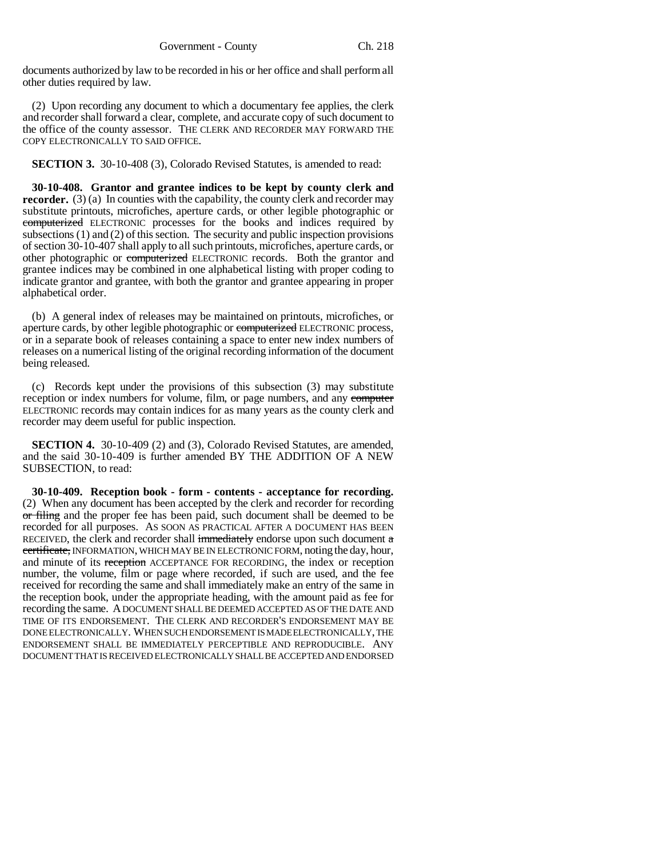documents authorized by law to be recorded in his or her office and shall perform all other duties required by law.

(2) Upon recording any document to which a documentary fee applies, the clerk and recorder shall forward a clear, complete, and accurate copy of such document to the office of the county assessor. THE CLERK AND RECORDER MAY FORWARD THE COPY ELECTRONICALLY TO SAID OFFICE.

**SECTION 3.** 30-10-408 (3), Colorado Revised Statutes, is amended to read:

**30-10-408. Grantor and grantee indices to be kept by county clerk and recorder.** (3) (a) In counties with the capability, the county clerk and recorder may substitute printouts, microfiches, aperture cards, or other legible photographic or computerized ELECTRONIC processes for the books and indices required by subsections (1) and (2) of this section. The security and public inspection provisions of section 30-10-407 shall apply to all such printouts, microfiches, aperture cards, or other photographic or computerized ELECTRONIC records. Both the grantor and grantee indices may be combined in one alphabetical listing with proper coding to indicate grantor and grantee, with both the grantor and grantee appearing in proper alphabetical order.

(b) A general index of releases may be maintained on printouts, microfiches, or aperture cards, by other legible photographic or computerized ELECTRONIC process, or in a separate book of releases containing a space to enter new index numbers of releases on a numerical listing of the original recording information of the document being released.

(c) Records kept under the provisions of this subsection (3) may substitute reception or index numbers for volume, film, or page numbers, and any computer ELECTRONIC records may contain indices for as many years as the county clerk and recorder may deem useful for public inspection.

**SECTION 4.** 30-10-409 (2) and (3), Colorado Revised Statutes, are amended, and the said 30-10-409 is further amended BY THE ADDITION OF A NEW SUBSECTION, to read:

**30-10-409. Reception book - form - contents - acceptance for recording.** (2) When any document has been accepted by the clerk and recorder for recording or filing and the proper fee has been paid, such document shall be deemed to be recorded for all purposes. AS SOON AS PRACTICAL AFTER A DOCUMENT HAS BEEN RECEIVED, the clerk and recorder shall immediately endorse upon such document  $a$ certificate, INFORMATION, WHICH MAY BE IN ELECTRONIC FORM, noting the day, hour, and minute of its reception ACCEPTANCE FOR RECORDING, the index or reception number, the volume, film or page where recorded, if such are used, and the fee received for recording the same and shall immediately make an entry of the same in the reception book, under the appropriate heading, with the amount paid as fee for recording the same. A DOCUMENT SHALL BE DEEMED ACCEPTED AS OF THE DATE AND TIME OF ITS ENDORSEMENT. THE CLERK AND RECORDER'S ENDORSEMENT MAY BE DONE ELECTRONICALLY. WHEN SUCH ENDORSEMENT IS MADE ELECTRONICALLY, THE ENDORSEMENT SHALL BE IMMEDIATELY PERCEPTIBLE AND REPRODUCIBLE. ANY DOCUMENT THAT IS RECEIVED ELECTRONICALLY SHALL BE ACCEPTED AND ENDORSED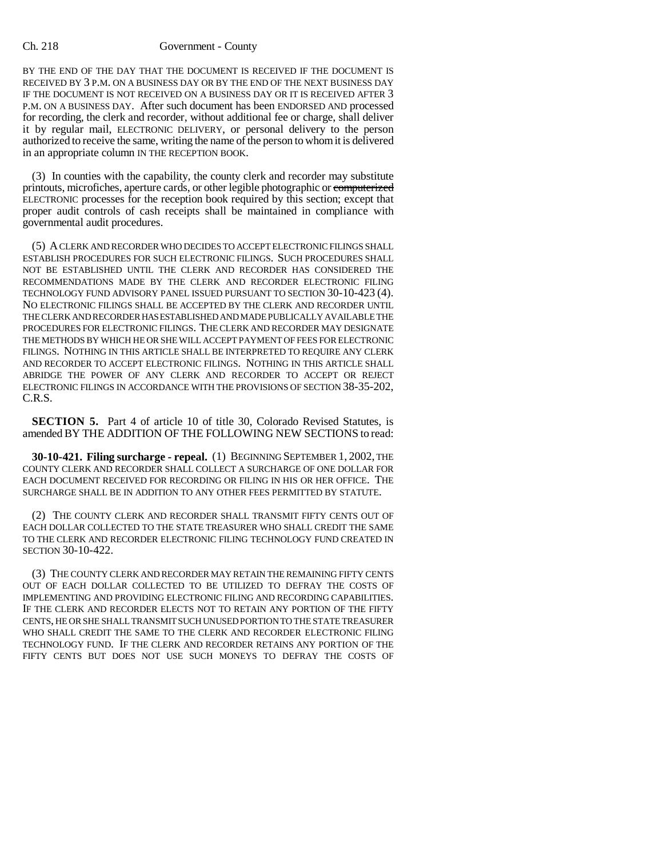#### Ch. 218 Government - County

BY THE END OF THE DAY THAT THE DOCUMENT IS RECEIVED IF THE DOCUMENT IS RECEIVED BY 3 P.M. ON A BUSINESS DAY OR BY THE END OF THE NEXT BUSINESS DAY IF THE DOCUMENT IS NOT RECEIVED ON A BUSINESS DAY OR IT IS RECEIVED AFTER 3 P.M. ON A BUSINESS DAY. After such document has been ENDORSED AND processed for recording, the clerk and recorder, without additional fee or charge, shall deliver it by regular mail, ELECTRONIC DELIVERY, or personal delivery to the person authorized to receive the same, writing the name of the person to whom it is delivered in an appropriate column IN THE RECEPTION BOOK.

(3) In counties with the capability, the county clerk and recorder may substitute printouts, microfiches, aperture cards, or other legible photographic or computerized ELECTRONIC processes for the reception book required by this section; except that proper audit controls of cash receipts shall be maintained in compliance with governmental audit procedures.

(5) A CLERK AND RECORDER WHO DECIDES TO ACCEPT ELECTRONIC FILINGS SHALL ESTABLISH PROCEDURES FOR SUCH ELECTRONIC FILINGS. SUCH PROCEDURES SHALL NOT BE ESTABLISHED UNTIL THE CLERK AND RECORDER HAS CONSIDERED THE RECOMMENDATIONS MADE BY THE CLERK AND RECORDER ELECTRONIC FILING TECHNOLOGY FUND ADVISORY PANEL ISSUED PURSUANT TO SECTION 30-10-423 (4). NO ELECTRONIC FILINGS SHALL BE ACCEPTED BY THE CLERK AND RECORDER UNTIL THE CLERK AND RECORDER HAS ESTABLISHED AND MADE PUBLICALLY AVAILABLE THE PROCEDURES FOR ELECTRONIC FILINGS. THE CLERK AND RECORDER MAY DESIGNATE THE METHODS BY WHICH HE OR SHE WILL ACCEPT PAYMENT OF FEES FOR ELECTRONIC FILINGS. NOTHING IN THIS ARTICLE SHALL BE INTERPRETED TO REQUIRE ANY CLERK AND RECORDER TO ACCEPT ELECTRONIC FILINGS. NOTHING IN THIS ARTICLE SHALL ABRIDGE THE POWER OF ANY CLERK AND RECORDER TO ACCEPT OR REJECT ELECTRONIC FILINGS IN ACCORDANCE WITH THE PROVISIONS OF SECTION 38-35-202, C.R.S.

**SECTION 5.** Part 4 of article 10 of title 30, Colorado Revised Statutes, is amended BY THE ADDITION OF THE FOLLOWING NEW SECTIONS to read:

**30-10-421. Filing surcharge - repeal.** (1) BEGINNING SEPTEMBER 1, 2002, THE COUNTY CLERK AND RECORDER SHALL COLLECT A SURCHARGE OF ONE DOLLAR FOR EACH DOCUMENT RECEIVED FOR RECORDING OR FILING IN HIS OR HER OFFICE. THE SURCHARGE SHALL BE IN ADDITION TO ANY OTHER FEES PERMITTED BY STATUTE.

(2) THE COUNTY CLERK AND RECORDER SHALL TRANSMIT FIFTY CENTS OUT OF EACH DOLLAR COLLECTED TO THE STATE TREASURER WHO SHALL CREDIT THE SAME TO THE CLERK AND RECORDER ELECTRONIC FILING TECHNOLOGY FUND CREATED IN SECTION 30-10-422.

(3) THE COUNTY CLERK AND RECORDER MAY RETAIN THE REMAINING FIFTY CENTS OUT OF EACH DOLLAR COLLECTED TO BE UTILIZED TO DEFRAY THE COSTS OF IMPLEMENTING AND PROVIDING ELECTRONIC FILING AND RECORDING CAPABILITIES. IF THE CLERK AND RECORDER ELECTS NOT TO RETAIN ANY PORTION OF THE FIFTY CENTS, HE OR SHE SHALL TRANSMIT SUCH UNUSED PORTION TO THE STATE TREASURER WHO SHALL CREDIT THE SAME TO THE CLERK AND RECORDER ELECTRONIC FILING TECHNOLOGY FUND. IF THE CLERK AND RECORDER RETAINS ANY PORTION OF THE FIFTY CENTS BUT DOES NOT USE SUCH MONEYS TO DEFRAY THE COSTS OF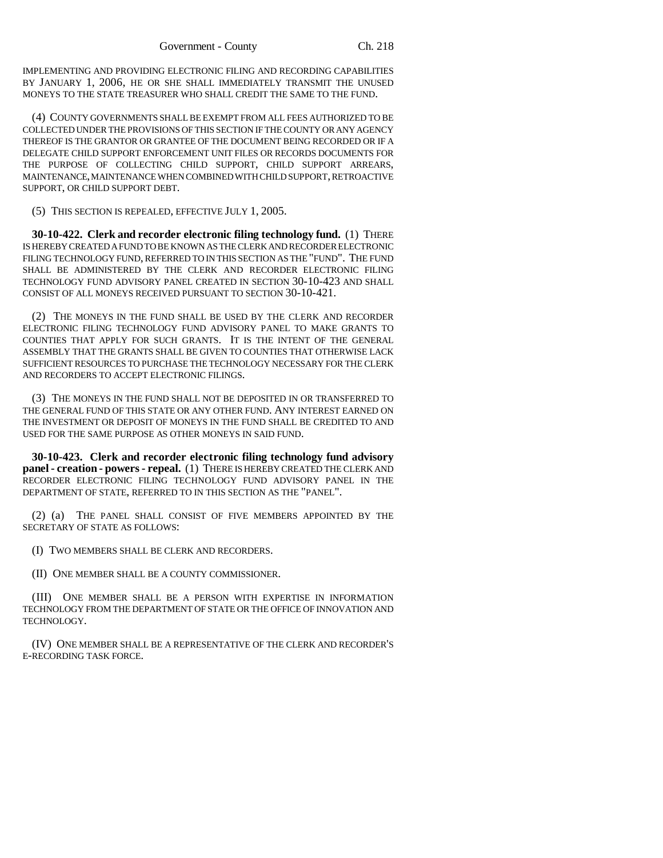IMPLEMENTING AND PROVIDING ELECTRONIC FILING AND RECORDING CAPABILITIES BY JANUARY 1, 2006, HE OR SHE SHALL IMMEDIATELY TRANSMIT THE UNUSED MONEYS TO THE STATE TREASURER WHO SHALL CREDIT THE SAME TO THE FUND.

(4) COUNTY GOVERNMENTS SHALL BE EXEMPT FROM ALL FEES AUTHORIZED TO BE COLLECTED UNDER THE PROVISIONS OF THIS SECTION IF THE COUNTY OR ANY AGENCY THEREOF IS THE GRANTOR OR GRANTEE OF THE DOCUMENT BEING RECORDED OR IF A DELEGATE CHILD SUPPORT ENFORCEMENT UNIT FILES OR RECORDS DOCUMENTS FOR THE PURPOSE OF COLLECTING CHILD SUPPORT, CHILD SUPPORT ARREARS, MAINTENANCE, MAINTENANCE WHEN COMBINED WITH CHILD SUPPORT, RETROACTIVE SUPPORT, OR CHILD SUPPORT DEBT.

(5) THIS SECTION IS REPEALED, EFFECTIVE JULY 1, 2005.

**30-10-422. Clerk and recorder electronic filing technology fund.** (1) THERE IS HEREBY CREATED A FUND TO BE KNOWN AS THE CLERK AND RECORDER ELECTRONIC FILING TECHNOLOGY FUND, REFERRED TO IN THIS SECTION AS THE "FUND". THE FUND SHALL BE ADMINISTERED BY THE CLERK AND RECORDER ELECTRONIC FILING TECHNOLOGY FUND ADVISORY PANEL CREATED IN SECTION 30-10-423 AND SHALL CONSIST OF ALL MONEYS RECEIVED PURSUANT TO SECTION 30-10-421.

(2) THE MONEYS IN THE FUND SHALL BE USED BY THE CLERK AND RECORDER ELECTRONIC FILING TECHNOLOGY FUND ADVISORY PANEL TO MAKE GRANTS TO COUNTIES THAT APPLY FOR SUCH GRANTS. IT IS THE INTENT OF THE GENERAL ASSEMBLY THAT THE GRANTS SHALL BE GIVEN TO COUNTIES THAT OTHERWISE LACK SUFFICIENT RESOURCES TO PURCHASE THE TECHNOLOGY NECESSARY FOR THE CLERK AND RECORDERS TO ACCEPT ELECTRONIC FILINGS.

(3) THE MONEYS IN THE FUND SHALL NOT BE DEPOSITED IN OR TRANSFERRED TO THE GENERAL FUND OF THIS STATE OR ANY OTHER FUND. ANY INTEREST EARNED ON THE INVESTMENT OR DEPOSIT OF MONEYS IN THE FUND SHALL BE CREDITED TO AND USED FOR THE SAME PURPOSE AS OTHER MONEYS IN SAID FUND.

**30-10-423. Clerk and recorder electronic filing technology fund advisory panel - creation - powers - repeal.** (1) THERE IS HEREBY CREATED THE CLERK AND RECORDER ELECTRONIC FILING TECHNOLOGY FUND ADVISORY PANEL IN THE DEPARTMENT OF STATE, REFERRED TO IN THIS SECTION AS THE "PANEL".

(2) (a) THE PANEL SHALL CONSIST OF FIVE MEMBERS APPOINTED BY THE SECRETARY OF STATE AS FOLLOWS:

(I) TWO MEMBERS SHALL BE CLERK AND RECORDERS.

(II) ONE MEMBER SHALL BE A COUNTY COMMISSIONER.

(III) ONE MEMBER SHALL BE A PERSON WITH EXPERTISE IN INFORMATION TECHNOLOGY FROM THE DEPARTMENT OF STATE OR THE OFFICE OF INNOVATION AND TECHNOLOGY.

(IV) ONE MEMBER SHALL BE A REPRESENTATIVE OF THE CLERK AND RECORDER'S E-RECORDING TASK FORCE.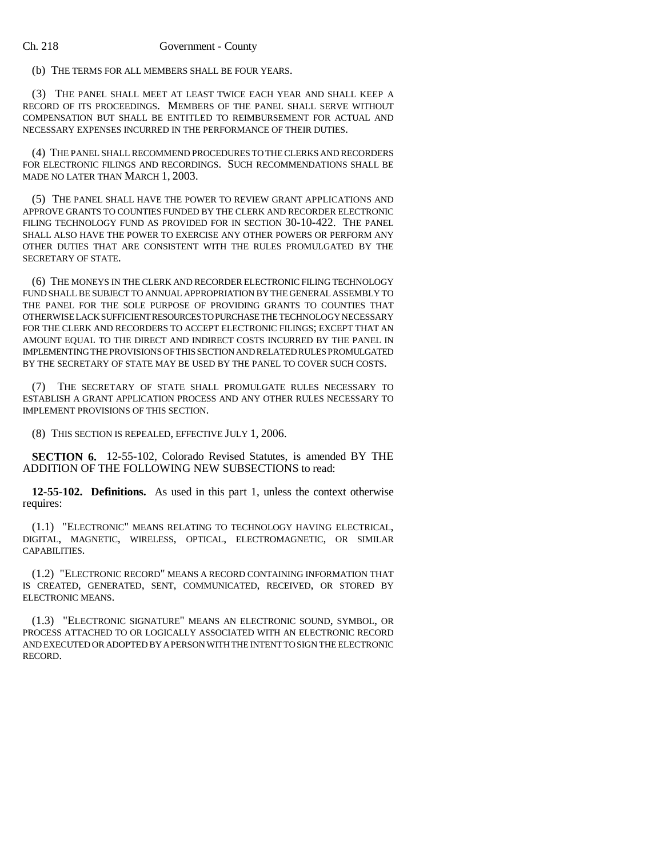#### Ch. 218 Government - County

(b) THE TERMS FOR ALL MEMBERS SHALL BE FOUR YEARS.

(3) THE PANEL SHALL MEET AT LEAST TWICE EACH YEAR AND SHALL KEEP A RECORD OF ITS PROCEEDINGS. MEMBERS OF THE PANEL SHALL SERVE WITHOUT COMPENSATION BUT SHALL BE ENTITLED TO REIMBURSEMENT FOR ACTUAL AND NECESSARY EXPENSES INCURRED IN THE PERFORMANCE OF THEIR DUTIES.

(4) THE PANEL SHALL RECOMMEND PROCEDURES TO THE CLERKS AND RECORDERS FOR ELECTRONIC FILINGS AND RECORDINGS. SUCH RECOMMENDATIONS SHALL BE MADE NO LATER THAN MARCH 1, 2003.

(5) THE PANEL SHALL HAVE THE POWER TO REVIEW GRANT APPLICATIONS AND APPROVE GRANTS TO COUNTIES FUNDED BY THE CLERK AND RECORDER ELECTRONIC FILING TECHNOLOGY FUND AS PROVIDED FOR IN SECTION 30-10-422. THE PANEL SHALL ALSO HAVE THE POWER TO EXERCISE ANY OTHER POWERS OR PERFORM ANY OTHER DUTIES THAT ARE CONSISTENT WITH THE RULES PROMULGATED BY THE SECRETARY OF STATE.

(6) THE MONEYS IN THE CLERK AND RECORDER ELECTRONIC FILING TECHNOLOGY FUND SHALL BE SUBJECT TO ANNUAL APPROPRIATION BY THE GENERAL ASSEMBLY TO THE PANEL FOR THE SOLE PURPOSE OF PROVIDING GRANTS TO COUNTIES THAT OTHERWISE LACK SUFFICIENT RESOURCES TO PURCHASE THE TECHNOLOGY NECESSARY FOR THE CLERK AND RECORDERS TO ACCEPT ELECTRONIC FILINGS; EXCEPT THAT AN AMOUNT EQUAL TO THE DIRECT AND INDIRECT COSTS INCURRED BY THE PANEL IN IMPLEMENTING THE PROVISIONS OF THIS SECTION AND RELATED RULES PROMULGATED BY THE SECRETARY OF STATE MAY BE USED BY THE PANEL TO COVER SUCH COSTS.

(7) THE SECRETARY OF STATE SHALL PROMULGATE RULES NECESSARY TO ESTABLISH A GRANT APPLICATION PROCESS AND ANY OTHER RULES NECESSARY TO IMPLEMENT PROVISIONS OF THIS SECTION.

(8) THIS SECTION IS REPEALED, EFFECTIVE JULY 1, 2006.

**SECTION 6.** 12-55-102, Colorado Revised Statutes, is amended BY THE ADDITION OF THE FOLLOWING NEW SUBSECTIONS to read:

**12-55-102. Definitions.** As used in this part 1, unless the context otherwise requires:

(1.1) "ELECTRONIC" MEANS RELATING TO TECHNOLOGY HAVING ELECTRICAL, DIGITAL, MAGNETIC, WIRELESS, OPTICAL, ELECTROMAGNETIC, OR SIMILAR CAPABILITIES.

(1.2) "ELECTRONIC RECORD" MEANS A RECORD CONTAINING INFORMATION THAT IS CREATED, GENERATED, SENT, COMMUNICATED, RECEIVED, OR STORED BY ELECTRONIC MEANS.

(1.3) "ELECTRONIC SIGNATURE" MEANS AN ELECTRONIC SOUND, SYMBOL, OR PROCESS ATTACHED TO OR LOGICALLY ASSOCIATED WITH AN ELECTRONIC RECORD AND EXECUTED OR ADOPTED BY A PERSON WITH THE INTENT TO SIGN THE ELECTRONIC RECORD.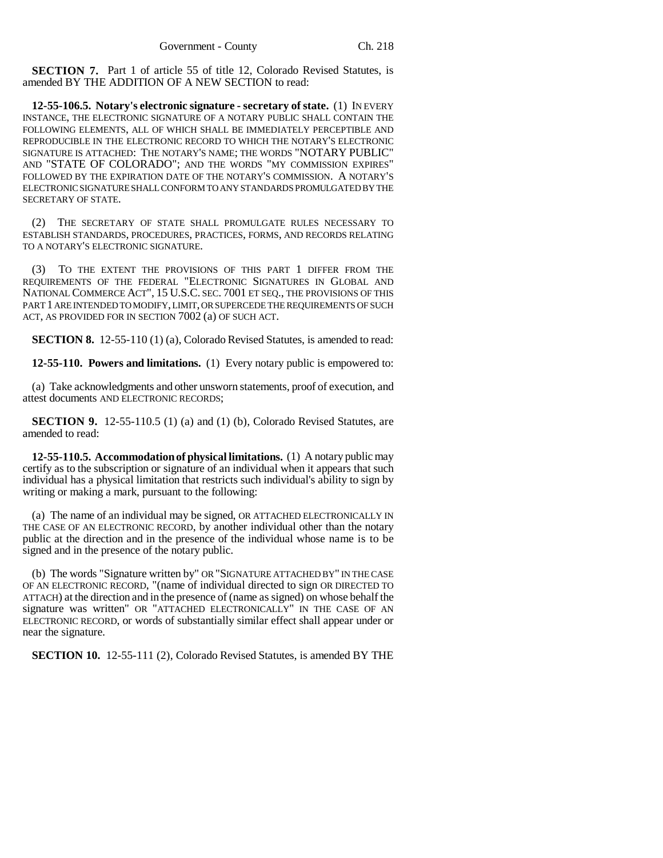**SECTION 7.** Part 1 of article 55 of title 12, Colorado Revised Statutes, is amended BY THE ADDITION OF A NEW SECTION to read:

**12-55-106.5. Notary's electronic signature - secretary of state.** (1) IN EVERY INSTANCE, THE ELECTRONIC SIGNATURE OF A NOTARY PUBLIC SHALL CONTAIN THE FOLLOWING ELEMENTS, ALL OF WHICH SHALL BE IMMEDIATELY PERCEPTIBLE AND REPRODUCIBLE IN THE ELECTRONIC RECORD TO WHICH THE NOTARY'S ELECTRONIC SIGNATURE IS ATTACHED: THE NOTARY'S NAME; THE WORDS "NOTARY PUBLIC" AND "STATE OF COLORADO"; AND THE WORDS "MY COMMISSION EXPIRES" FOLLOWED BY THE EXPIRATION DATE OF THE NOTARY'S COMMISSION. A NOTARY'S ELECTRONIC SIGNATURE SHALL CONFORM TO ANY STANDARDS PROMULGATED BY THE SECRETARY OF STATE.

(2) THE SECRETARY OF STATE SHALL PROMULGATE RULES NECESSARY TO ESTABLISH STANDARDS, PROCEDURES, PRACTICES, FORMS, AND RECORDS RELATING TO A NOTARY'S ELECTRONIC SIGNATURE.

(3) TO THE EXTENT THE PROVISIONS OF THIS PART 1 DIFFER FROM THE REQUIREMENTS OF THE FEDERAL "ELECTRONIC SIGNATURES IN GLOBAL AND NATIONAL COMMERCE ACT", 15 U.S.C. SEC. 7001 ET SEQ., THE PROVISIONS OF THIS PART 1 ARE INTENDED TO MODIFY, LIMIT, OR SUPERCEDE THE REQUIREMENTS OF SUCH ACT, AS PROVIDED FOR IN SECTION 7002 (a) OF SUCH ACT.

**SECTION 8.** 12-55-110 (1) (a), Colorado Revised Statutes, is amended to read:

**12-55-110. Powers and limitations.** (1) Every notary public is empowered to:

(a) Take acknowledgments and other unsworn statements, proof of execution, and attest documents AND ELECTRONIC RECORDS;

**SECTION 9.** 12-55-110.5 (1) (a) and (1) (b), Colorado Revised Statutes, are amended to read:

**12-55-110.5. Accommodation of physical limitations.** (1) A notary public may certify as to the subscription or signature of an individual when it appears that such individual has a physical limitation that restricts such individual's ability to sign by writing or making a mark, pursuant to the following:

(a) The name of an individual may be signed, OR ATTACHED ELECTRONICALLY IN THE CASE OF AN ELECTRONIC RECORD, by another individual other than the notary public at the direction and in the presence of the individual whose name is to be signed and in the presence of the notary public.

(b) The words "Signature written by" OR "SIGNATURE ATTACHED BY" IN THE CASE OF AN ELECTRONIC RECORD, "(name of individual directed to sign OR DIRECTED TO ATTACH) at the direction and in the presence of (name as signed) on whose behalf the signature was written" OR "ATTACHED ELECTRONICALLY" IN THE CASE OF AN ELECTRONIC RECORD, or words of substantially similar effect shall appear under or near the signature.

**SECTION 10.** 12-55-111 (2), Colorado Revised Statutes, is amended BY THE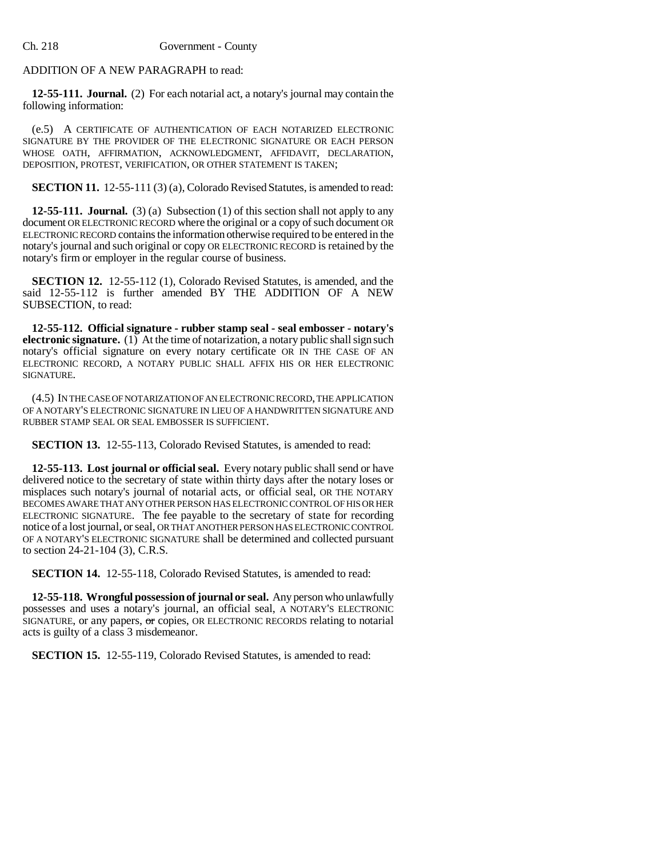### ADDITION OF A NEW PARAGRAPH to read:

**12-55-111. Journal.** (2) For each notarial act, a notary's journal may contain the following information:

(e.5) A CERTIFICATE OF AUTHENTICATION OF EACH NOTARIZED ELECTRONIC SIGNATURE BY THE PROVIDER OF THE ELECTRONIC SIGNATURE OR EACH PERSON WHOSE OATH, AFFIRMATION, ACKNOWLEDGMENT, AFFIDAVIT, DECLARATION, DEPOSITION, PROTEST, VERIFICATION, OR OTHER STATEMENT IS TAKEN;

**SECTION 11.** 12-55-111 (3) (a), Colorado Revised Statutes, is amended to read:

**12-55-111. Journal.** (3) (a) Subsection (1) of this section shall not apply to any document OR ELECTRONIC RECORD where the original or a copy of such document OR ELECTRONIC RECORD contains the information otherwise required to be entered in the notary's journal and such original or copy OR ELECTRONIC RECORD is retained by the notary's firm or employer in the regular course of business.

**SECTION 12.** 12-55-112 (1), Colorado Revised Statutes, is amended, and the said 12-55-112 is further amended BY THE ADDITION OF A NEW SUBSECTION, to read:

**12-55-112. Official signature - rubber stamp seal - seal embosser - notary's electronic signature.** (1) At the time of notarization, a notary public shall sign such notary's official signature on every notary certificate OR IN THE CASE OF AN ELECTRONIC RECORD, A NOTARY PUBLIC SHALL AFFIX HIS OR HER ELECTRONIC SIGNATURE.

(4.5) IN THE CASE OF NOTARIZATION OF AN ELECTRONIC RECORD, THE APPLICATION OF A NOTARY'S ELECTRONIC SIGNATURE IN LIEU OF A HANDWRITTEN SIGNATURE AND RUBBER STAMP SEAL OR SEAL EMBOSSER IS SUFFICIENT.

**SECTION 13.** 12-55-113, Colorado Revised Statutes, is amended to read:

**12-55-113. Lost journal or official seal.** Every notary public shall send or have delivered notice to the secretary of state within thirty days after the notary loses or misplaces such notary's journal of notarial acts, or official seal, OR THE NOTARY BECOMES AWARE THAT ANY OTHER PERSON HAS ELECTRONIC CONTROL OF HIS OR HER ELECTRONIC SIGNATURE. The fee payable to the secretary of state for recording notice of a lost journal, or seal, OR THAT ANOTHER PERSON HAS ELECTRONIC CONTROL OF A NOTARY'S ELECTRONIC SIGNATURE shall be determined and collected pursuant to section 24-21-104 (3), C.R.S.

**SECTION 14.** 12-55-118, Colorado Revised Statutes, is amended to read:

**12-55-118. Wrongful possession of journal or seal.** Any person who unlawfully possesses and uses a notary's journal, an official seal, A NOTARY'S ELECTRONIC SIGNATURE, or any papers, or copies, OR ELECTRONIC RECORDS relating to notarial acts is guilty of a class 3 misdemeanor.

**SECTION 15.** 12-55-119, Colorado Revised Statutes, is amended to read: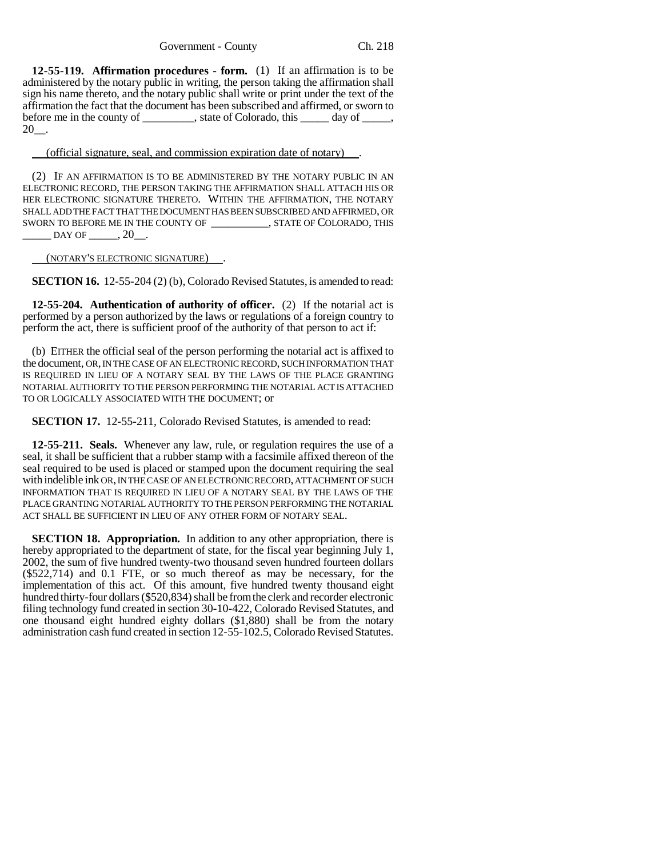**12-55-119. Affirmation procedures - form.** (1) If an affirmation is to be administered by the notary public in writing, the person taking the affirmation shall sign his name thereto, and the notary public shall write or print under the text of the affirmation the fact that the document has been subscribed and affirmed, or sworn to before me in the county of \_\_\_\_\_\_\_\_, state of Colorado, this \_\_\_\_\_\_ day of \_\_\_\_\_,  $20$ .

(official signature, seal, and commission expiration date of notary) .

(2) IF AN AFFIRMATION IS TO BE ADMINISTERED BY THE NOTARY PUBLIC IN AN ELECTRONIC RECORD, THE PERSON TAKING THE AFFIRMATION SHALL ATTACH HIS OR HER ELECTRONIC SIGNATURE THERETO. WITHIN THE AFFIRMATION, THE NOTARY SHALL ADD THE FACT THAT THE DOCUMENT HAS BEEN SUBSCRIBED AND AFFIRMED, OR SWORN TO BEFORE ME IN THE COUNTY OF \_\_\_\_\_\_\_\_\_\_, STATE OF COLORADO, THIS  $\_$  DAY OF  $\_$ , 20 $\_$ .

(NOTARY'S ELECTRONIC SIGNATURE) .

**SECTION 16.** 12-55-204 (2) (b), Colorado Revised Statutes, is amended to read:

**12-55-204. Authentication of authority of officer.** (2) If the notarial act is performed by a person authorized by the laws or regulations of a foreign country to perform the act, there is sufficient proof of the authority of that person to act if:

(b) EITHER the official seal of the person performing the notarial act is affixed to the document, OR, IN THE CASE OF AN ELECTRONIC RECORD, SUCH INFORMATION THAT IS REQUIRED IN LIEU OF A NOTARY SEAL BY THE LAWS OF THE PLACE GRANTING NOTARIAL AUTHORITY TO THE PERSON PERFORMING THE NOTARIAL ACT IS ATTACHED TO OR LOGICALLY ASSOCIATED WITH THE DOCUMENT; or

**SECTION 17.** 12-55-211, Colorado Revised Statutes, is amended to read:

**12-55-211. Seals.** Whenever any law, rule, or regulation requires the use of a seal, it shall be sufficient that a rubber stamp with a facsimile affixed thereon of the seal required to be used is placed or stamped upon the document requiring the seal with indelible ink OR, IN THE CASE OF AN ELECTRONIC RECORD, ATTACHMENT OF SUCH INFORMATION THAT IS REQUIRED IN LIEU OF A NOTARY SEAL BY THE LAWS OF THE PLACE GRANTING NOTARIAL AUTHORITY TO THE PERSON PERFORMING THE NOTARIAL ACT SHALL BE SUFFICIENT IN LIEU OF ANY OTHER FORM OF NOTARY SEAL.

**SECTION 18. Appropriation.** In addition to any other appropriation, there is hereby appropriated to the department of state, for the fiscal year beginning July 1, 2002, the sum of five hundred twenty-two thousand seven hundred fourteen dollars (\$522,714) and 0.1 FTE, or so much thereof as may be necessary, for the implementation of this act. Of this amount, five hundred twenty thousand eight hundred thirty-four dollars (\$520,834) shall be from the clerk and recorder electronic filing technology fund created in section 30-10-422, Colorado Revised Statutes, and one thousand eight hundred eighty dollars (\$1,880) shall be from the notary administration cash fund created in section 12-55-102.5, Colorado Revised Statutes.